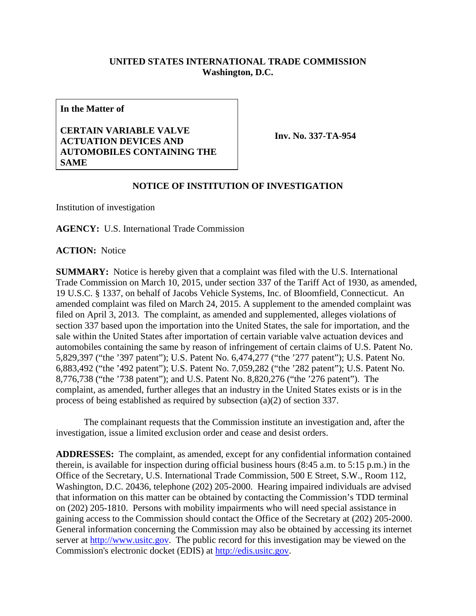## **UNITED STATES INTERNATIONAL TRADE COMMISSION Washington, D.C.**

**In the Matter of**

## **CERTAIN VARIABLE VALVE ACTUATION DEVICES AND AUTOMOBILES CONTAINING THE SAME**

**Inv. No. 337-TA-954**

## **NOTICE OF INSTITUTION OF INVESTIGATION**

Institution of investigation

**AGENCY:** U.S. International Trade Commission

**ACTION:** Notice

**SUMMARY:** Notice is hereby given that a complaint was filed with the U.S. International Trade Commission on March 10, 2015, under section 337 of the Tariff Act of 1930, as amended, 19 U.S.C. § 1337, on behalf of Jacobs Vehicle Systems, Inc. of Bloomfield, Connecticut. An amended complaint was filed on March 24, 2015. A supplement to the amended complaint was filed on April 3, 2013. The complaint, as amended and supplemented, alleges violations of section 337 based upon the importation into the United States, the sale for importation, and the sale within the United States after importation of certain variable valve actuation devices and automobiles containing the same by reason of infringement of certain claims of U.S. Patent No. 5,829,397 ("the '397 patent"); U.S. Patent No. 6,474,277 ("the '277 patent"); U.S. Patent No. 6,883,492 ("the '492 patent"); U.S. Patent No. 7,059,282 ("the '282 patent"); U.S. Patent No. 8,776,738 ("the '738 patent"); and U.S. Patent No. 8,820,276 ("the '276 patent"). The complaint, as amended, further alleges that an industry in the United States exists or is in the process of being established as required by subsection (a)(2) of section 337.

The complainant requests that the Commission institute an investigation and, after the investigation, issue a limited exclusion order and cease and desist orders.

**ADDRESSES:** The complaint, as amended, except for any confidential information contained therein, is available for inspection during official business hours (8:45 a.m. to 5:15 p.m.) in the Office of the Secretary, U.S. International Trade Commission, 500 E Street, S.W., Room 112, Washington, D.C. 20436, telephone (202) 205-2000. Hearing impaired individuals are advised that information on this matter can be obtained by contacting the Commission's TDD terminal on (202) 205-1810. Persons with mobility impairments who will need special assistance in gaining access to the Commission should contact the Office of the Secretary at (202) 205-2000. General information concerning the Commission may also be obtained by accessing its internet server at [http://www.usitc.gov.](http://www.usitc.gov/) The public record for this investigation may be viewed on the Commission's electronic docket (EDIS) at [http://edis.usitc.gov.](http://edis.usitc.gov/)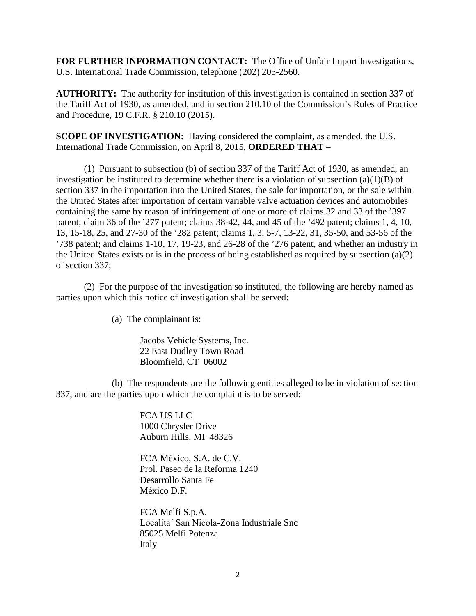**FOR FURTHER INFORMATION CONTACT:** The Office of Unfair Import Investigations, U.S. International Trade Commission, telephone (202) 205-2560.

**AUTHORITY:** The authority for institution of this investigation is contained in section 337 of the Tariff Act of 1930, as amended, and in section 210.10 of the Commission's Rules of Practice and Procedure, 19 C.F.R. § 210.10 (2015).

**SCOPE OF INVESTIGATION:** Having considered the complaint, as amended, the U.S. International Trade Commission, on April 8, 2015, **ORDERED THAT** –

(1) Pursuant to subsection (b) of section 337 of the Tariff Act of 1930, as amended, an investigation be instituted to determine whether there is a violation of subsection  $(a)(1)(B)$  of section 337 in the importation into the United States, the sale for importation, or the sale within the United States after importation of certain variable valve actuation devices and automobiles containing the same by reason of infringement of one or more of claims 32 and 33 of the '397 patent; claim 36 of the '277 patent; claims 38-42, 44, and 45 of the '492 patent; claims 1, 4, 10, 13, 15-18, 25, and 27-30 of the '282 patent; claims 1, 3, 5-7, 13-22, 31, 35-50, and 53-56 of the '738 patent; and claims 1-10, 17, 19-23, and 26-28 of the '276 patent, and whether an industry in the United States exists or is in the process of being established as required by subsection (a)(2) of section 337;

(2) For the purpose of the investigation so instituted, the following are hereby named as parties upon which this notice of investigation shall be served:

(a) The complainant is:

Jacobs Vehicle Systems, Inc. 22 East Dudley Town Road Bloomfield, CT 06002

(b) The respondents are the following entities alleged to be in violation of section 337, and are the parties upon which the complaint is to be served:

> FCA US LLC 1000 Chrysler Drive Auburn Hills, MI 48326

FCA México, S.A. de C.V. Prol. Paseo de la Reforma 1240 Desarrollo Santa Fe México D.F.

FCA Melfi S.p.A. Localitaˊ San Nicola-Zona Industriale Snc 85025 Melfi Potenza Italy